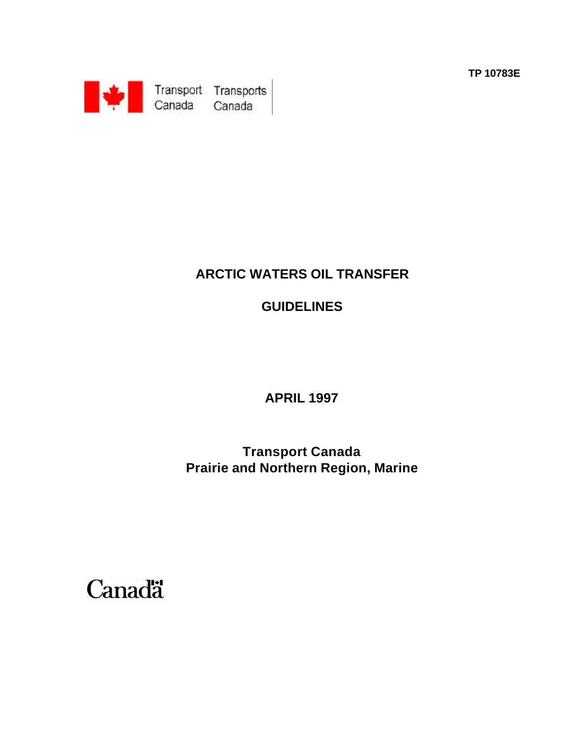**TP 10783E**



# **ARCTIC WATERS OIL TRANSFER**

# **GUIDELINES**

**APRIL 1997**

**Transport Canada Prairie and Northern Region, Marine**

**Canadä**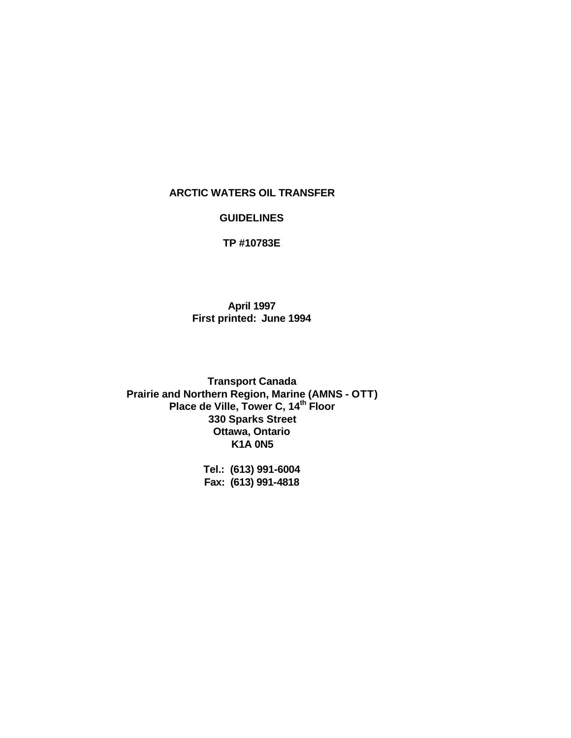#### **ARCTIC WATERS OIL TRANSFER**

#### **GUIDELINES**

**TP #10783E**

**April 1997 First printed: June 1994**

**Transport Canada Prairie and Northern Region, Marine (AMNS - OTT) Place de Ville, Tower C, 14th Floor 330 Sparks Street Ottawa, Ontario K1A 0N5**

> **Tel.: (613) 991-6004 Fax: (613) 991-4818**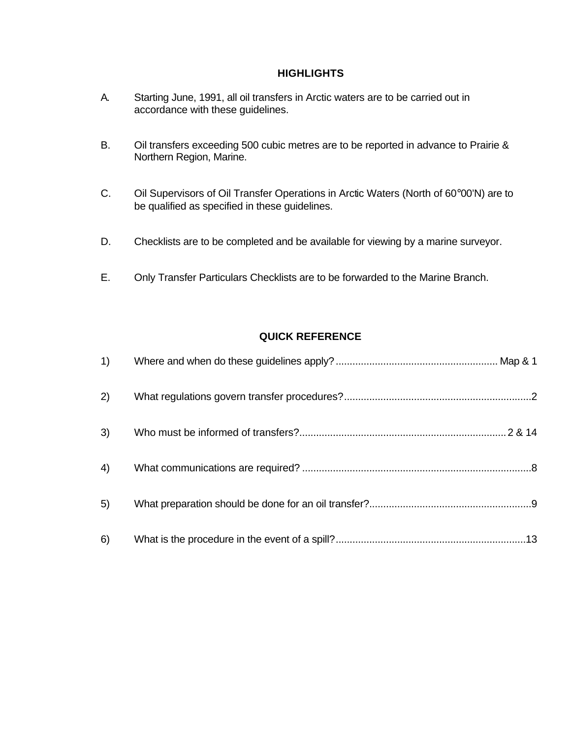#### **HIGHLIGHTS**

- A. Starting June, 1991, all oil transfers in Arctic waters are to be carried out in accordance with these guidelines.
- B. Oil transfers exceeding 500 cubic metres are to be reported in advance to Prairie & Northern Region, Marine.
- C. Oil Supervisors of Oil Transfer Operations in Arctic Waters (North of 60°00'N) are to be qualified as specified in these guidelines.
- D. Checklists are to be completed and be available for viewing by a marine surveyor.
- E. Only Transfer Particulars Checklists are to be forwarded to the Marine Branch.

#### **QUICK REFERENCE**

| 2) |  |
|----|--|
| 3) |  |
| 4) |  |
| 5) |  |
| 6) |  |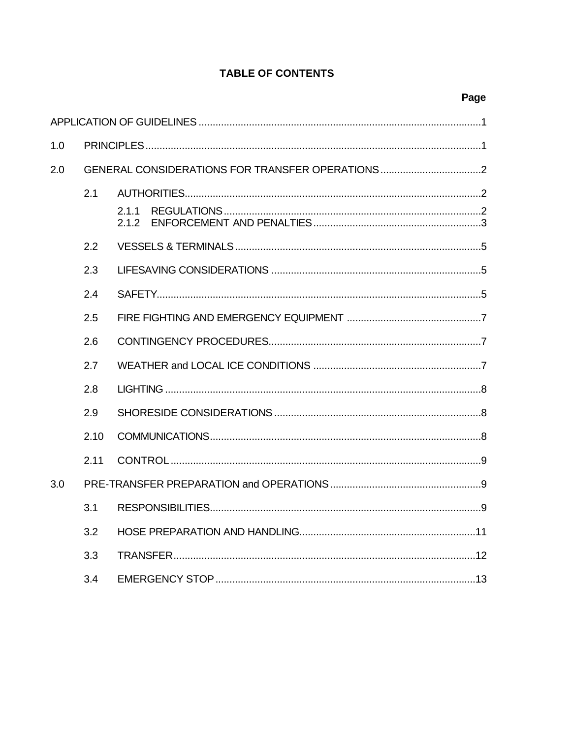## **TABLE OF CONTENTS**

| 1.0 |      |                |
|-----|------|----------------|
| 2.0 |      |                |
|     | 2.1  |                |
|     |      | 2.1.1<br>2.1.2 |
|     | 2.2  |                |
|     | 2.3  |                |
|     | 2.4  |                |
|     | 2.5  |                |
|     | 2.6  |                |
|     | 2.7  |                |
|     | 2.8  |                |
|     | 2.9  |                |
|     | 2.10 |                |
|     | 2.11 |                |
| 3.0 |      |                |
|     | 3.1  |                |
|     | 3.2  |                |
|     | 3.3  |                |
|     | 3.4  |                |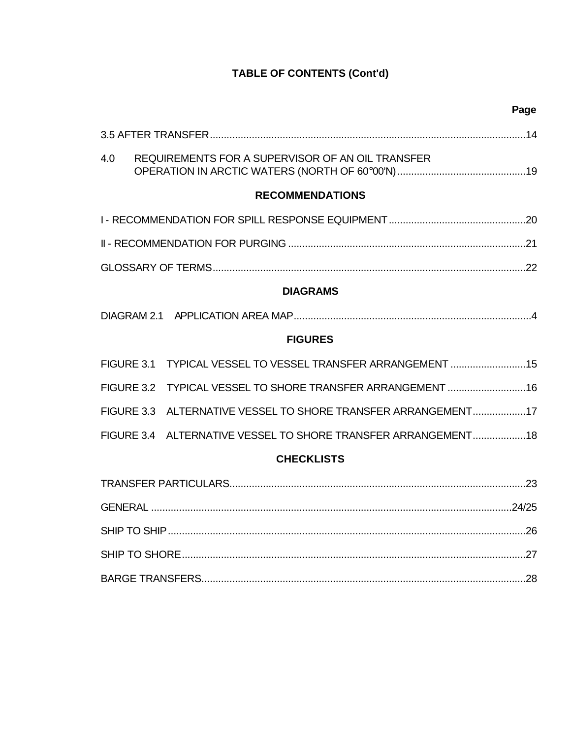| Page                                                          |
|---------------------------------------------------------------|
|                                                               |
| 4.0<br>REQUIREMENTS FOR A SUPERVISOR OF AN OIL TRANSFER       |
| <b>RECOMMENDATIONS</b>                                        |
|                                                               |
|                                                               |
|                                                               |
| <b>DIAGRAMS</b>                                               |
|                                                               |
| <b>FIGURES</b>                                                |
| FIGURE 3.1 TYPICAL VESSEL TO VESSEL TRANSFER ARRANGEMENT  15  |
| FIGURE 3.2 TYPICAL VESSEL TO SHORE TRANSFER ARRANGEMENT 16    |
| FIGURE 3.3 ALTERNATIVE VESSEL TO SHORE TRANSFER ARRANGEMENT17 |
| FIGURE 3.4 ALTERNATIVE VESSEL TO SHORE TRANSFER ARRANGEMENT18 |
| <b>CHECKLISTS</b>                                             |
|                                                               |
|                                                               |
|                                                               |
|                                                               |
|                                                               |

# **TABLE OF CONTENTS (Cont'd)**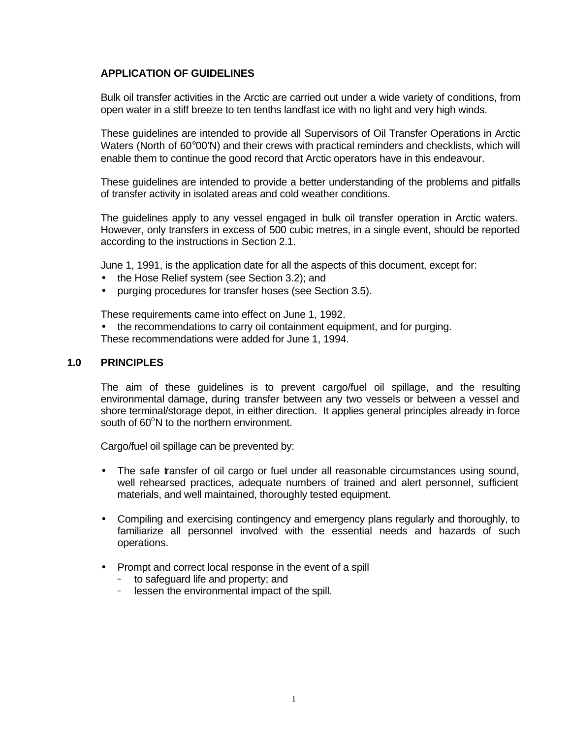#### **APPLICATION OF GUIDELINES**

Bulk oil transfer activities in the Arctic are carried out under a wide variety of conditions, from open water in a stiff breeze to ten tenths landfast ice with no light and very high winds.

These guidelines are intended to provide all Supervisors of Oil Transfer Operations in Arctic Waters (North of 60°00'N) and their crews with practical reminders and checklists, which will enable them to continue the good record that Arctic operators have in this endeavour.

These guidelines are intended to provide a better understanding of the problems and pitfalls of transfer activity in isolated areas and cold weather conditions.

The guidelines apply to any vessel engaged in bulk oil transfer operation in Arctic waters. However, only transfers in excess of 500 cubic metres, in a single event, should be reported according to the instructions in Section 2.1.

June 1, 1991, is the application date for all the aspects of this document, except for:

- the Hose Relief system (see Section 3.2); and
- purging procedures for transfer hoses (see Section 3.5).

These requirements came into effect on June 1, 1992.

• the recommendations to carry oil containment equipment, and for purging. These recommendations were added for June 1, 1994.

#### **1.0 PRINCIPLES**

The aim of these guidelines is to prevent cargo/fuel oil spillage, and the resulting environmental damage, during transfer between any two vessels or between a vessel and shore terminal/storage depot, in either direction. It applies general principles already in force south of 60<sup>o</sup>N to the northern environment.

Cargo/fuel oil spillage can be prevented by:

- The safe transfer of oil cargo or fuel under all reasonable circumstances using sound, well rehearsed practices, adequate numbers of trained and alert personnel, sufficient materials, and well maintained, thoroughly tested equipment.
- Compiling and exercising contingency and emergency plans regularly and thoroughly, to familiarize all personnel involved with the essential needs and hazards of such operations.
- Prompt and correct local response in the event of a spill
	- to safeguard life and property; and
	- lessen the environmental impact of the spill.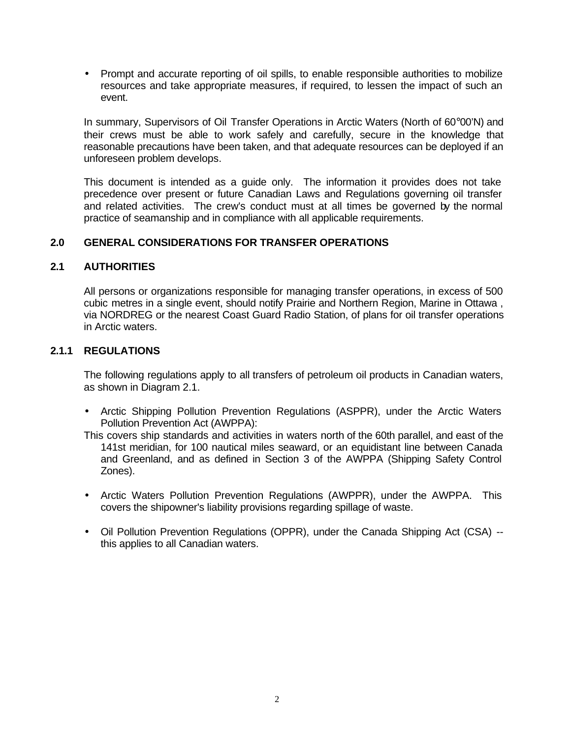• Prompt and accurate reporting of oil spills, to enable responsible authorities to mobilize resources and take appropriate measures, if required, to lessen the impact of such an event.

In summary, Supervisors of Oil Transfer Operations in Arctic Waters (North of 60°00'N) and their crews must be able to work safely and carefully, secure in the knowledge that reasonable precautions have been taken, and that adequate resources can be deployed if an unforeseen problem develops.

This document is intended as a guide only. The information it provides does not take precedence over present or future Canadian Laws and Regulations governing oil transfer and related activities. The crew's conduct must at all times be governed by the normal practice of seamanship and in compliance with all applicable requirements.

#### **2.0 GENERAL CONSIDERATIONS FOR TRANSFER OPERATIONS**

#### **2.1 AUTHORITIES**

All persons or organizations responsible for managing transfer operations, in excess of 500 cubic metres in a single event, should notify Prairie and Northern Region, Marine in Ottawa , via NORDREG or the nearest Coast Guard Radio Station, of plans for oil transfer operations in Arctic waters.

#### **2.1.1 REGULATIONS**

The following regulations apply to all transfers of petroleum oil products in Canadian waters, as shown in Diagram 2.1.

• Arctic Shipping Pollution Prevention Regulations (ASPPR), under the Arctic Waters Pollution Prevention Act (AWPPA):

This covers ship standards and activities in waters north of the 60th parallel, and east of the 141st meridian, for 100 nautical miles seaward, or an equidistant line between Canada and Greenland, and as defined in Section 3 of the AWPPA (Shipping Safety Control Zones).

- Arctic Waters Pollution Prevention Regulations (AWPPR), under the AWPPA. This covers the shipowner's liability provisions regarding spillage of waste.
- Oil Pollution Prevention Regulations (OPPR), under the Canada Shipping Act (CSA) this applies to all Canadian waters.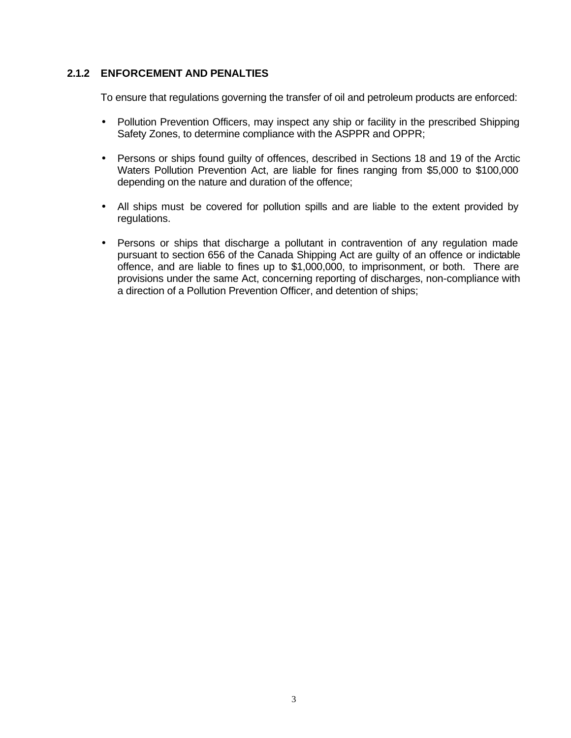#### **2.1.2 ENFORCEMENT AND PENALTIES**

To ensure that regulations governing the transfer of oil and petroleum products are enforced:

- Pollution Prevention Officers, may inspect any ship or facility in the prescribed Shipping Safety Zones, to determine compliance with the ASPPR and OPPR;
- Persons or ships found guilty of offences, described in Sections 18 and 19 of the Arctic Waters Pollution Prevention Act, are liable for fines ranging from \$5,000 to \$100,000 depending on the nature and duration of the offence;
- All ships must be covered for pollution spills and are liable to the extent provided by regulations.
- Persons or ships that discharge a pollutant in contravention of any regulation made pursuant to section 656 of the Canada Shipping Act are guilty of an offence or indictable offence, and are liable to fines up to \$1,000,000, to imprisonment, or both. There are provisions under the same Act, concerning reporting of discharges, non-compliance with a direction of a Pollution Prevention Officer, and detention of ships;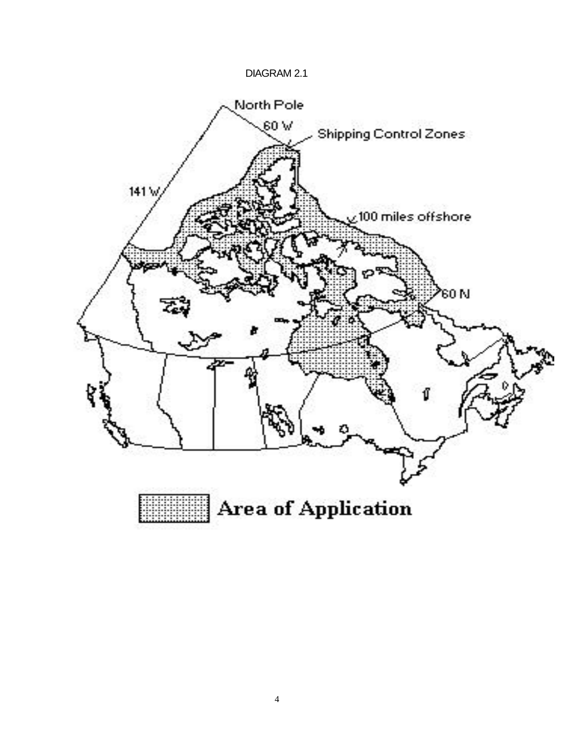### DIAGRAM 2.1



::::::::::<br>:::::::::::<br>::::::::::: **Area of Application**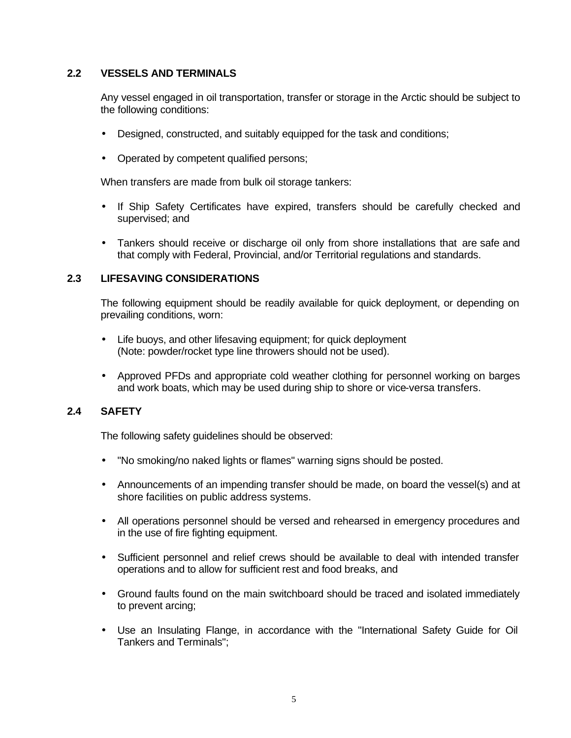#### **2.2 VESSELS AND TERMINALS**

Any vessel engaged in oil transportation, transfer or storage in the Arctic should be subject to the following conditions:

- Designed, constructed, and suitably equipped for the task and conditions;
- Operated by competent qualified persons;

When transfers are made from bulk oil storage tankers:

- If Ship Safety Certificates have expired, transfers should be carefully checked and supervised; and
- Tankers should receive or discharge oil only from shore installations that are safe and that comply with Federal, Provincial, and/or Territorial regulations and standards.

#### **2.3 LIFESAVING CONSIDERATIONS**

The following equipment should be readily available for quick deployment, or depending on prevailing conditions, worn:

- Life buoys, and other lifesaving equipment; for quick deployment (Note: powder/rocket type line throwers should not be used).
- Approved PFDs and appropriate cold weather clothing for personnel working on barges and work boats, which may be used during ship to shore or vice-versa transfers.

#### **2.4 SAFETY**

The following safety guidelines should be observed:

- "No smoking/no naked lights or flames" warning signs should be posted.
- Announcements of an impending transfer should be made, on board the vessel(s) and at shore facilities on public address systems.
- All operations personnel should be versed and rehearsed in emergency procedures and in the use of fire fighting equipment.
- Sufficient personnel and relief crews should be available to deal with intended transfer operations and to allow for sufficient rest and food breaks, and
- Ground faults found on the main switchboard should be traced and isolated immediately to prevent arcing;
- Use an Insulating Flange, in accordance with the "International Safety Guide for Oil Tankers and Terminals";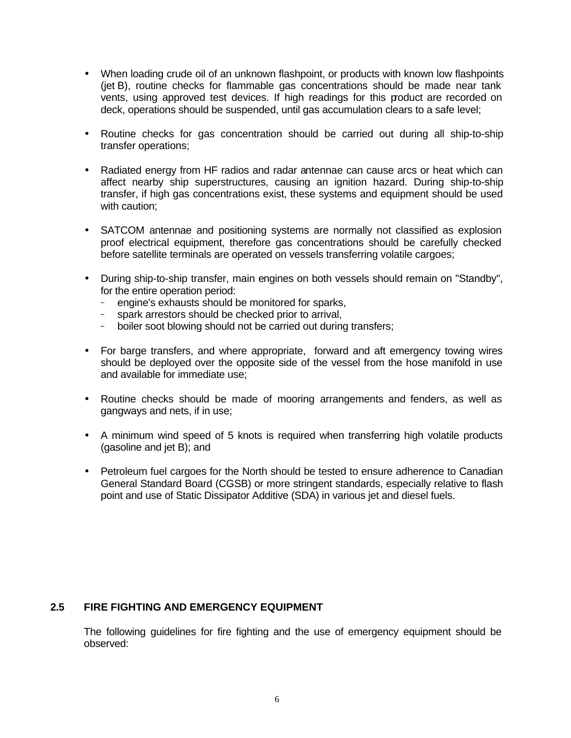- When loading crude oil of an unknown flashpoint, or products with known low flashpoints (jet B), routine checks for flammable gas concentrations should be made near tank vents, using approved test devices. If high readings for this product are recorded on deck, operations should be suspended, until gas accumulation clears to a safe level;
- Routine checks for gas concentration should be carried out during all ship-to-ship transfer operations;
- Radiated energy from HF radios and radar antennae can cause arcs or heat which can affect nearby ship superstructures, causing an ignition hazard. During ship-to-ship transfer, if high gas concentrations exist, these systems and equipment should be used with caution:
- SATCOM antennae and positioning systems are normally not classified as explosion proof electrical equipment, therefore gas concentrations should be carefully checked before satellite terminals are operated on vessels transferring volatile cargoes;
- During ship-to-ship transfer, main engines on both vessels should remain on "Standby", for the entire operation period:
	- engine's exhausts should be monitored for sparks,
	- spark arrestors should be checked prior to arrival,
	- boiler soot blowing should not be carried out during transfers;
- For barge transfers, and where appropriate, forward and aft emergency towing wires should be deployed over the opposite side of the vessel from the hose manifold in use and available for immediate use;
- Routine checks should be made of mooring arrangements and fenders, as well as gangways and nets, if in use;
- A minimum wind speed of 5 knots is required when transferring high volatile products (gasoline and jet B); and
- Petroleum fuel cargoes for the North should be tested to ensure adherence to Canadian General Standard Board (CGSB) or more stringent standards, especially relative to flash point and use of Static Dissipator Additive (SDA) in various jet and diesel fuels.

#### **2.5 FIRE FIGHTING AND EMERGENCY EQUIPMENT**

The following guidelines for fire fighting and the use of emergency equipment should be observed: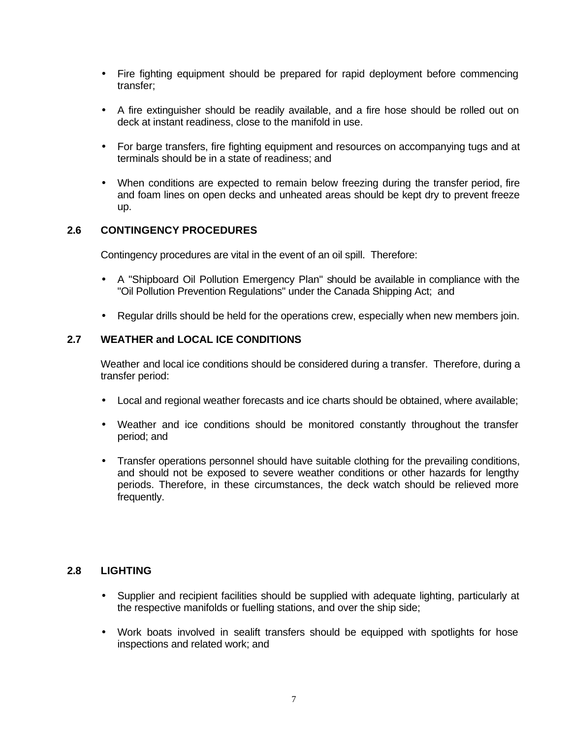- Fire fighting equipment should be prepared for rapid deployment before commencing transfer;
- A fire extinguisher should be readily available, and a fire hose should be rolled out on deck at instant readiness, close to the manifold in use.
- For barge transfers, fire fighting equipment and resources on accompanying tugs and at terminals should be in a state of readiness; and
- When conditions are expected to remain below freezing during the transfer period, fire and foam lines on open decks and unheated areas should be kept dry to prevent freeze up.

#### **2.6 CONTINGENCY PROCEDURES**

Contingency procedures are vital in the event of an oil spill. Therefore:

- A "Shipboard Oil Pollution Emergency Plan" should be available in compliance with the "Oil Pollution Prevention Regulations" under the Canada Shipping Act; and
- Regular drills should be held for the operations crew, especially when new members join.

### **2.7 WEATHER and LOCAL ICE CONDITIONS**

Weather and local ice conditions should be considered during a transfer. Therefore, during a transfer period:

- Local and regional weather forecasts and ice charts should be obtained, where available;
- Weather and ice conditions should be monitored constantly throughout the transfer period; and
- Transfer operations personnel should have suitable clothing for the prevailing conditions, and should not be exposed to severe weather conditions or other hazards for lengthy periods. Therefore, in these circumstances, the deck watch should be relieved more frequently.

#### **2.8 LIGHTING**

- Supplier and recipient facilities should be supplied with adequate lighting, particularly at the respective manifolds or fuelling stations, and over the ship side;
- Work boats involved in sealift transfers should be equipped with spotlights for hose inspections and related work; and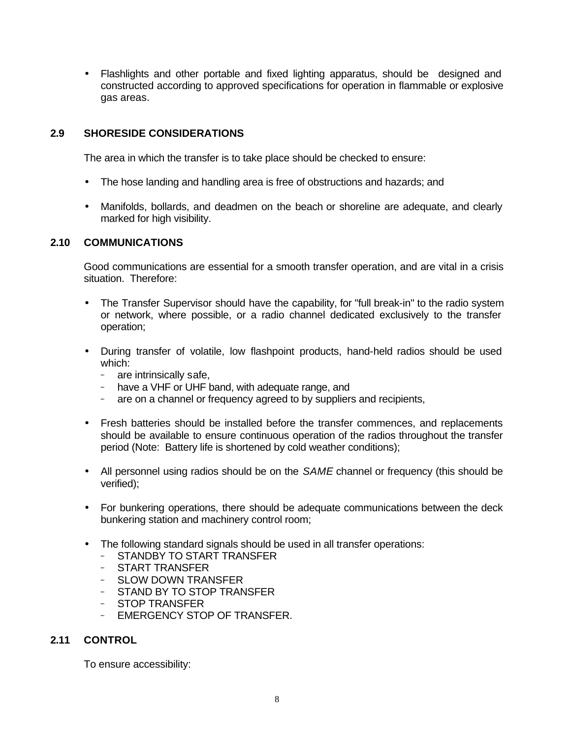• Flashlights and other portable and fixed lighting apparatus, should be designed and constructed according to approved specifications for operation in flammable or explosive gas areas.

### **2.9 SHORESIDE CONSIDERATIONS**

The area in which the transfer is to take place should be checked to ensure:

- The hose landing and handling area is free of obstructions and hazards; and
- Manifolds, bollards, and deadmen on the beach or shoreline are adequate, and clearly marked for high visibility.

#### **2.10 COMMUNICATIONS**

Good communications are essential for a smooth transfer operation, and are vital in a crisis situation. Therefore:

- The Transfer Supervisor should have the capability, for "full break-in" to the radio system or network, where possible, or a radio channel dedicated exclusively to the transfer operation;
- During transfer of volatile, low flashpoint products, hand-held radios should be used which:
	- are intrinsically safe,
	- have a VHF or UHF band, with adequate range, and
	- are on a channel or frequency agreed to by suppliers and recipients,
- Fresh batteries should be installed before the transfer commences, and replacements should be available to ensure continuous operation of the radios throughout the transfer period (Note: Battery life is shortened by cold weather conditions);
- All personnel using radios should be on the *SAME* channel or frequency (this should be verified);
- For bunkering operations, there should be adequate communications between the deck bunkering station and machinery control room;
- The following standard signals should be used in all transfer operations:
	- STANDBY TO START TRANSFER
	- START TRANSFER
	- SLOW DOWN TRANSFER
	- STAND BY TO STOP TRANSFER
	- STOP TRANSFER
	- EMERGENCY STOP OF TRANSFER.

#### **2.11 CONTROL**

To ensure accessibility: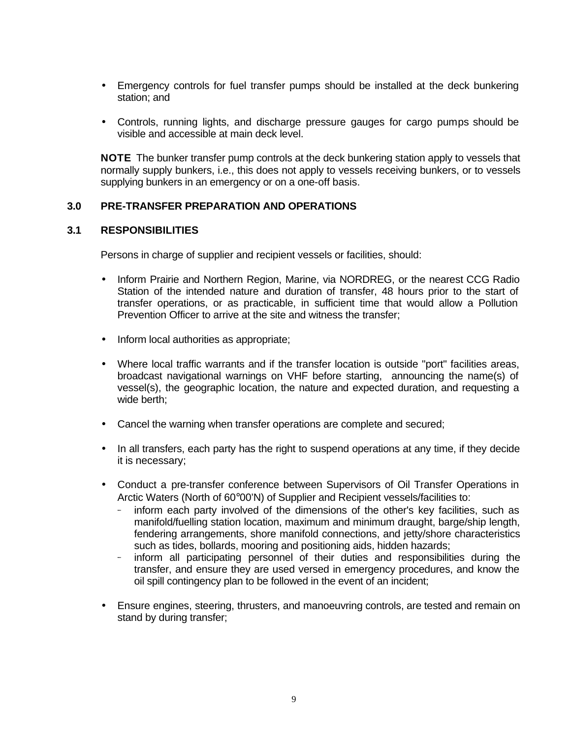- Emergency controls for fuel transfer pumps should be installed at the deck bunkering station; and
- Controls, running lights, and discharge pressure gauges for cargo pumps should be visible and accessible at main deck level.

**NOTE** The bunker transfer pump controls at the deck bunkering station apply to vessels that normally supply bunkers, i.e., this does not apply to vessels receiving bunkers, or to vessels supplying bunkers in an emergency or on a one-off basis.

#### **3.0 PRE-TRANSFER PREPARATION AND OPERATIONS**

#### **3.1 RESPONSIBILITIES**

Persons in charge of supplier and recipient vessels or facilities, should:

- Inform Prairie and Northern Region, Marine, via NORDREG, or the nearest CCG Radio Station of the intended nature and duration of transfer, 48 hours prior to the start of transfer operations, or as practicable, in sufficient time that would allow a Pollution Prevention Officer to arrive at the site and witness the transfer;
- Inform local authorities as appropriate;
- Where local traffic warrants and if the transfer location is outside "port" facilities areas, broadcast navigational warnings on VHF before starting, announcing the name(s) of vessel(s), the geographic location, the nature and expected duration, and requesting a wide berth;
- Cancel the warning when transfer operations are complete and secured;
- In all transfers, each party has the right to suspend operations at any time, if they decide it is necessary;
- Conduct a pre-transfer conference between Supervisors of Oil Transfer Operations in Arctic Waters (North of 60°00'N) of Supplier and Recipient vessels/facilities to:
	- inform each party involved of the dimensions of the other's key facilities, such as manifold/fuelling station location, maximum and minimum draught, barge/ship length, fendering arrangements, shore manifold connections, and jetty/shore characteristics such as tides, bollards, mooring and positioning aids, hidden hazards;
	- inform all participating personnel of their duties and responsibilities during the transfer, and ensure they are used versed in emergency procedures, and know the oil spill contingency plan to be followed in the event of an incident;
- Ensure engines, steering, thrusters, and manoeuvring controls, are tested and remain on stand by during transfer;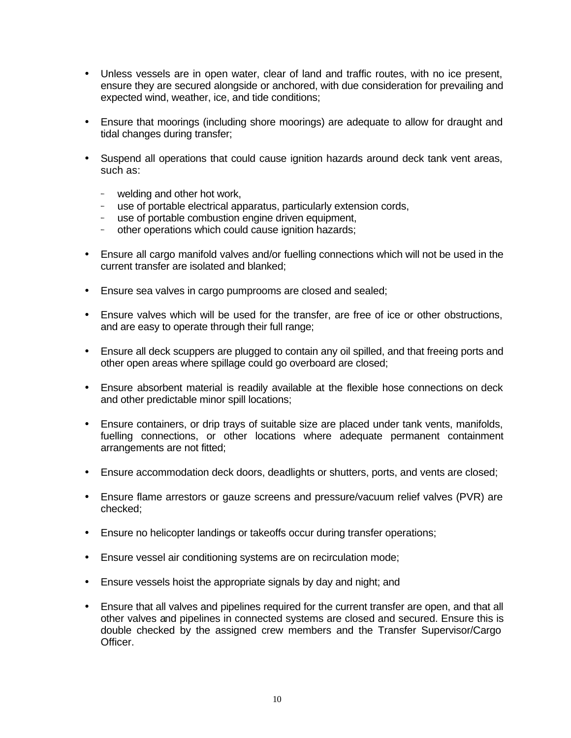- Unless vessels are in open water, clear of land and traffic routes, with no ice present, ensure they are secured alongside or anchored, with due consideration for prevailing and expected wind, weather, ice, and tide conditions;
- Ensure that moorings (including shore moorings) are adequate to allow for draught and tidal changes during transfer;
- Suspend all operations that could cause ignition hazards around deck tank vent areas, such as:
	- welding and other hot work,
	- use of portable electrical apparatus, particularly extension cords,
	- use of portable combustion engine driven equipment,
	- other operations which could cause ignition hazards;
- Ensure all cargo manifold valves and/or fuelling connections which will not be used in the current transfer are isolated and blanked;
- Ensure sea valves in cargo pumprooms are closed and sealed;
- Ensure valves which will be used for the transfer, are free of ice or other obstructions, and are easy to operate through their full range;
- Ensure all deck scuppers are plugged to contain any oil spilled, and that freeing ports and other open areas where spillage could go overboard are closed;
- Ensure absorbent material is readily available at the flexible hose connections on deck and other predictable minor spill locations;
- Ensure containers, or drip trays of suitable size are placed under tank vents, manifolds, fuelling connections, or other locations where adequate permanent containment arrangements are not fitted;
- Ensure accommodation deck doors, deadlights or shutters, ports, and vents are closed;
- Ensure flame arrestors or gauze screens and pressure/vacuum relief valves (PVR) are checked;
- Ensure no helicopter landings or takeoffs occur during transfer operations;
- Ensure vessel air conditioning systems are on recirculation mode;
- Ensure vessels hoist the appropriate signals by day and night; and
- Ensure that all valves and pipelines required for the current transfer are open, and that all other valves and pipelines in connected systems are closed and secured. Ensure this is double checked by the assigned crew members and the Transfer Supervisor/Cargo Officer.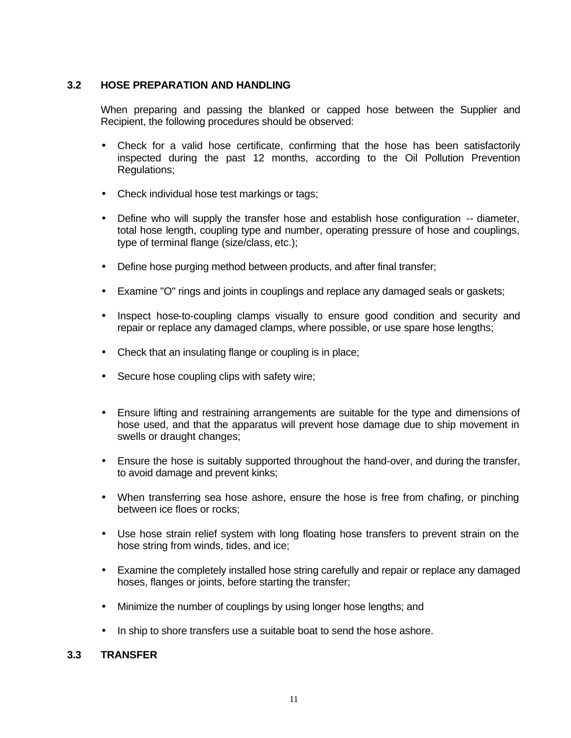#### **3.2 HOSE PREPARATION AND HANDLING**

When preparing and passing the blanked or capped hose between the Supplier and Recipient, the following procedures should be observed:

- Check for a valid hose certificate, confirming that the hose has been satisfactorily inspected during the past 12 months, according to the Oil Pollution Prevention Regulations;
- Check individual hose test markings or tags;
- Define who will supply the transfer hose and establish hose configuration -- diameter, total hose length, coupling type and number, operating pressure of hose and couplings, type of terminal flange (size/class, etc.);
- Define hose purging method between products, and after final transfer;
- Examine "O" rings and joints in couplings and replace any damaged seals or gaskets;
- Inspect hose-to-coupling clamps visually to ensure good condition and security and repair or replace any damaged clamps, where possible, or use spare hose lengths;
- Check that an insulating flange or coupling is in place;
- Secure hose coupling clips with safety wire;
- Ensure lifting and restraining arrangements are suitable for the type and dimensions of hose used, and that the apparatus will prevent hose damage due to ship movement in swells or draught changes;
- Ensure the hose is suitably supported throughout the hand-over, and during the transfer, to avoid damage and prevent kinks;
- When transferring sea hose ashore, ensure the hose is free from chafing, or pinching between ice floes or rocks;
- Use hose strain relief system with long floating hose transfers to prevent strain on the hose string from winds, tides, and ice;
- Examine the completely installed hose string carefully and repair or replace any damaged hoses, flanges or joints, before starting the transfer;
- Minimize the number of couplings by using longer hose lengths; and
- In ship to shore transfers use a suitable boat to send the hose ashore.

#### **3.3 TRANSFER**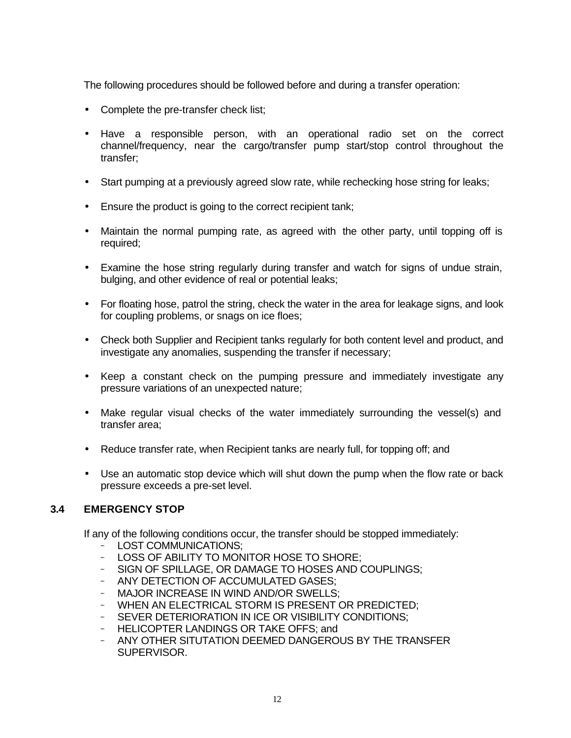The following procedures should be followed before and during a transfer operation:

- Complete the pre-transfer check list;
- Have a responsible person, with an operational radio set on the correct channel/frequency, near the cargo/transfer pump start/stop control throughout the transfer;
- Start pumping at a previously agreed slow rate, while rechecking hose string for leaks;
- Ensure the product is going to the correct recipient tank;
- Maintain the normal pumping rate, as agreed with the other party, until topping off is required;
- Examine the hose string regularly during transfer and watch for signs of undue strain, bulging, and other evidence of real or potential leaks;
- For floating hose, patrol the string, check the water in the area for leakage signs, and look for coupling problems, or snags on ice floes;
- Check both Supplier and Recipient tanks regularly for both content level and product, and investigate any anomalies, suspending the transfer if necessary;
- Keep a constant check on the pumping pressure and immediately investigate any pressure variations of an unexpected nature;
- Make regular visual checks of the water immediately surrounding the vessel(s) and transfer area;
- Reduce transfer rate, when Recipient tanks are nearly full, for topping off; and
- Use an automatic stop device which will shut down the pump when the flow rate or back pressure exceeds a pre-set level.

#### **3.4 EMERGENCY STOP**

If any of the following conditions occur, the transfer should be stopped immediately:

- LOST COMMUNICATIONS;
- LOSS OF ABILITY TO MONITOR HOSE TO SHORE;
- SIGN OF SPILLAGE, OR DAMAGE TO HOSES AND COUPLINGS;
- ANY DETECTION OF ACCUMULATED GASES;
- MAJOR INCREASE IN WIND AND/OR SWELLS;
- WHEN AN ELECTRICAL STORM IS PRESENT OR PREDICTED;
- SEVER DETERIORATION IN ICE OR VISIBILITY CONDITIONS;
- HELICOPTER LANDINGS OR TAKE OFFS; and
- ANY OTHER SITUTATION DEEMED DANGEROUS BY THE TRANSFER SUPERVISOR.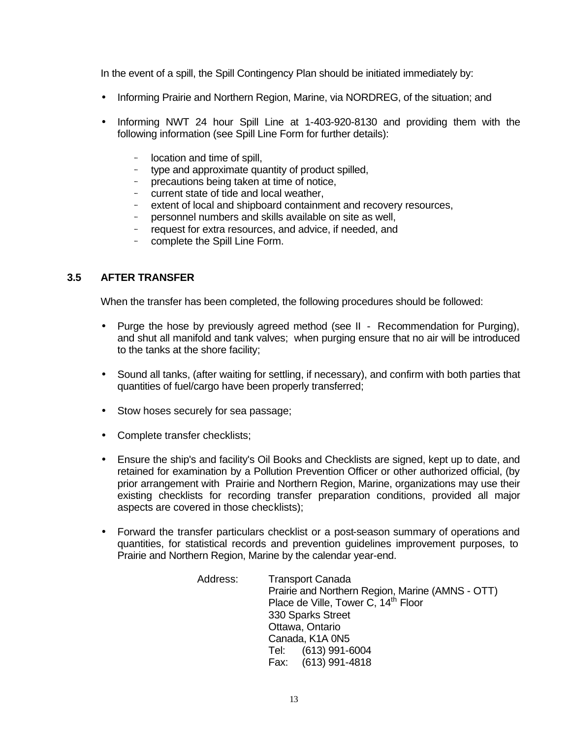In the event of a spill, the Spill Contingency Plan should be initiated immediately by:

- Informing Prairie and Northern Region, Marine, via NORDREG, of the situation; and
- Informing NWT 24 hour Spill Line at 1-403-920-8130 and providing them with the following information (see Spill Line Form for further details):
	- location and time of spill,
	- type and approximate quantity of product spilled,
	- precautions being taken at time of notice,
	- current state of tide and local weather,
	- extent of local and shipboard containment and recovery resources,<br>- nersonnel numbers and skills available on site as well,
	- personnel numbers and skills available on site as well,
	- request for extra resources, and advice, if needed, and
	- complete the Spill Line Form.

#### **3.5 AFTER TRANSFER**

When the transfer has been completed, the following procedures should be followed:

- Purge the hose by previously agreed method (see II Recommendation for Purging), and shut all manifold and tank valves; when purging ensure that no air will be introduced to the tanks at the shore facility;
- Sound all tanks, (after waiting for settling, if necessary), and confirm with both parties that quantities of fuel/cargo have been properly transferred;
- Stow hoses securely for sea passage;
- Complete transfer checklists;
- Ensure the ship's and facility's Oil Books and Checklists are signed, kept up to date, and retained for examination by a Pollution Prevention Officer or other authorized official, (by prior arrangement with Prairie and Northern Region, Marine, organizations may use their existing checklists for recording transfer preparation conditions, provided all major aspects are covered in those checklists);
- Forward the transfer particulars checklist or a post-season summary of operations and quantities, for statistical records and prevention guidelines improvement purposes, to Prairie and Northern Region, Marine by the calendar year-end.

| Address: | <b>Transport Canada</b><br>Prairie and Northern Region, Marine (AMNS - OTT)<br>Place de Ville, Tower C, 14 <sup>th</sup> Floor |
|----------|--------------------------------------------------------------------------------------------------------------------------------|
|          | 330 Sparks Street                                                                                                              |
|          | Ottawa, Ontario                                                                                                                |
|          | Canada, K1A 0N5                                                                                                                |
|          | Tel: (613) 991-6004                                                                                                            |
|          | Fax: (613) 991-4818                                                                                                            |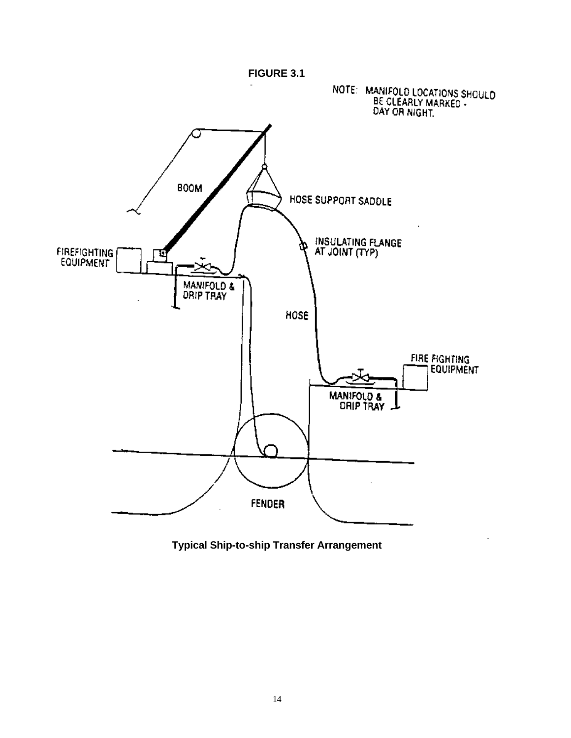

**Typical Ship-to-ship Transfer Arrangement**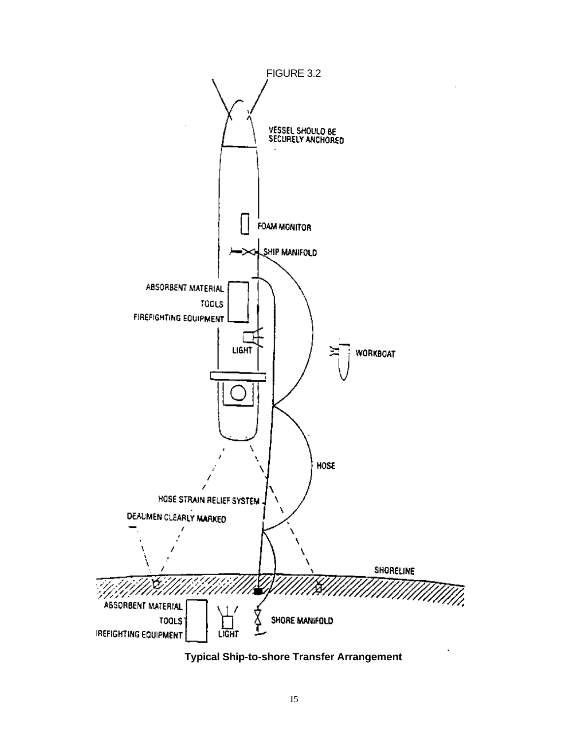

**Typical Ship-to-shore Transfer Arrangement**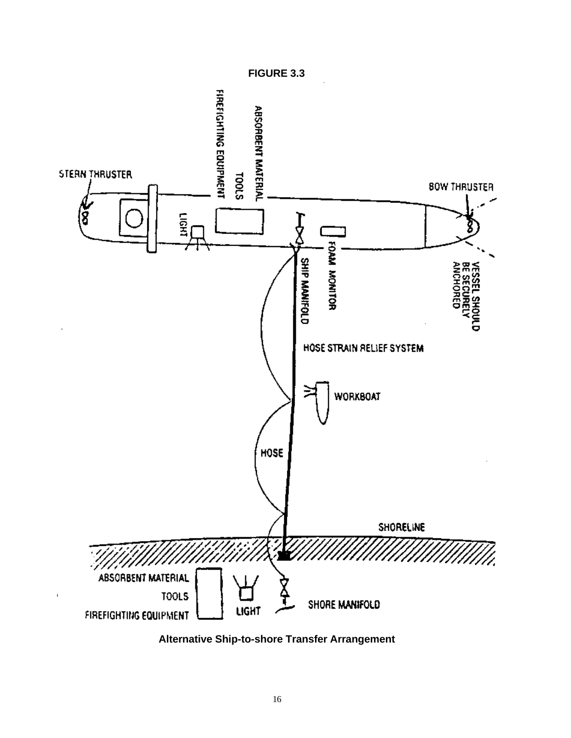

**Alternative Ship-to-shore Transfer Arrangement**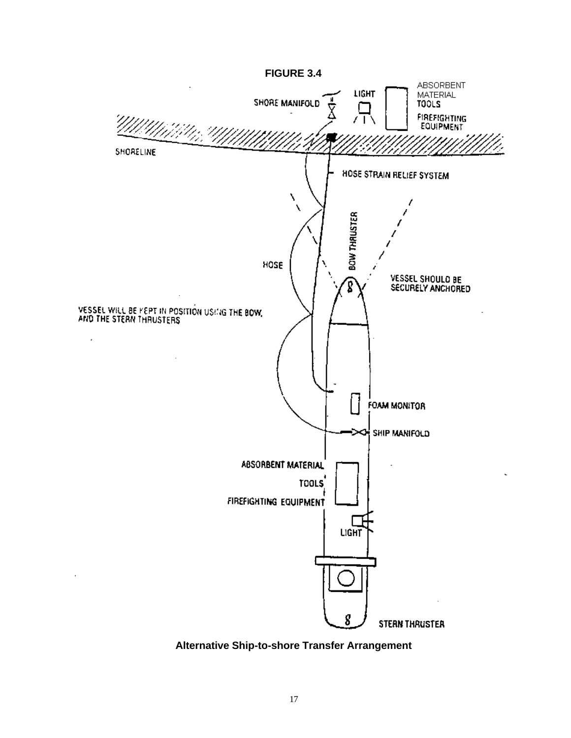

**Alternative Ship-to-shore Transfer Arrangement**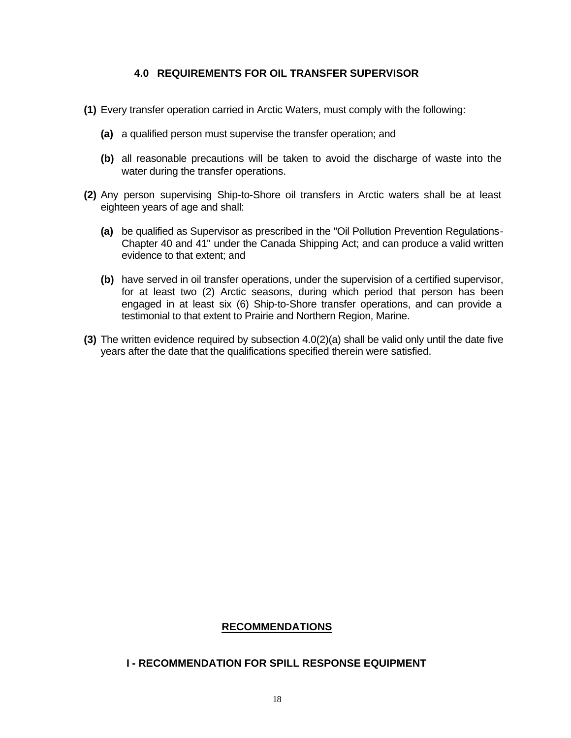#### **4.0 REQUIREMENTS FOR OIL TRANSFER SUPERVISOR**

- **(1)** Every transfer operation carried in Arctic Waters, must comply with the following:
	- **(a)** a qualified person must supervise the transfer operation; and
	- **(b)** all reasonable precautions will be taken to avoid the discharge of waste into the water during the transfer operations.
- **(2)** Any person supervising Ship-to-Shore oil transfers in Arctic waters shall be at least eighteen years of age and shall:
	- **(a)** be qualified as Supervisor as prescribed in the "Oil Pollution Prevention Regulations-Chapter 40 and 41" under the Canada Shipping Act; and can produce a valid written evidence to that extent; and
	- **(b)** have served in oil transfer operations, under the supervision of a certified supervisor, for at least two (2) Arctic seasons, during which period that person has been engaged in at least six (6) Ship-to-Shore transfer operations, and can provide a testimonial to that extent to Prairie and Northern Region, Marine.
- **(3)** The written evidence required by subsection 4.0(2)(a) shall be valid only until the date five years after the date that the qualifications specified therein were satisfied.

### **RECOMMENDATIONS**

#### **I - RECOMMENDATION FOR SPILL RESPONSE EQUIPMENT**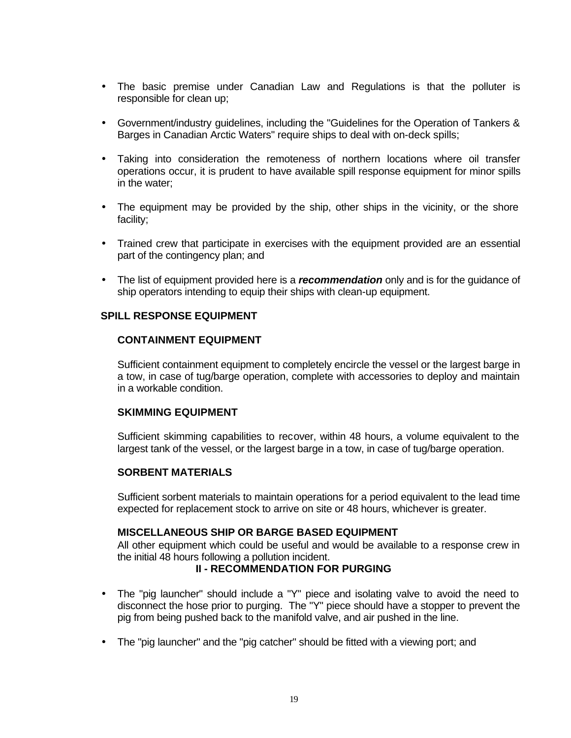- The basic premise under Canadian Law and Regulations is that the polluter is responsible for clean up;
- Government/industry guidelines, including the "Guidelines for the Operation of Tankers & Barges in Canadian Arctic Waters" require ships to deal with on-deck spills;
- Taking into consideration the remoteness of northern locations where oil transfer operations occur, it is prudent to have available spill response equipment for minor spills in the water;
- The equipment may be provided by the ship, other ships in the vicinity, or the shore facility;
- Trained crew that participate in exercises with the equipment provided are an essential part of the contingency plan; and
- The list of equipment provided here is a *recommendation* only and is for the guidance of ship operators intending to equip their ships with clean-up equipment.

#### **SPILL RESPONSE EQUIPMENT**

#### **CONTAINMENT EQUIPMENT**

Sufficient containment equipment to completely encircle the vessel or the largest barge in a tow, in case of tug/barge operation, complete with accessories to deploy and maintain in a workable condition.

#### **SKIMMING EQUIPMENT**

Sufficient skimming capabilities to recover, within 48 hours, a volume equivalent to the largest tank of the vessel, or the largest barge in a tow, in case of tug/barge operation.

#### **SORBENT MATERIALS**

Sufficient sorbent materials to maintain operations for a period equivalent to the lead time expected for replacement stock to arrive on site or 48 hours, whichever is greater.

#### **MISCELLANEOUS SHIP OR BARGE BASED EQUIPMENT**

All other equipment which could be useful and would be available to a response crew in the initial 48 hours following a pollution incident.

#### **II - RECOMMENDATION FOR PURGING**

- The "pig launcher" should include a "Y" piece and isolating valve to avoid the need to disconnect the hose prior to purging. The "Y" piece should have a stopper to prevent the pig from being pushed back to the manifold valve, and air pushed in the line.
- The "pig launcher" and the "pig catcher" should be fitted with a viewing port; and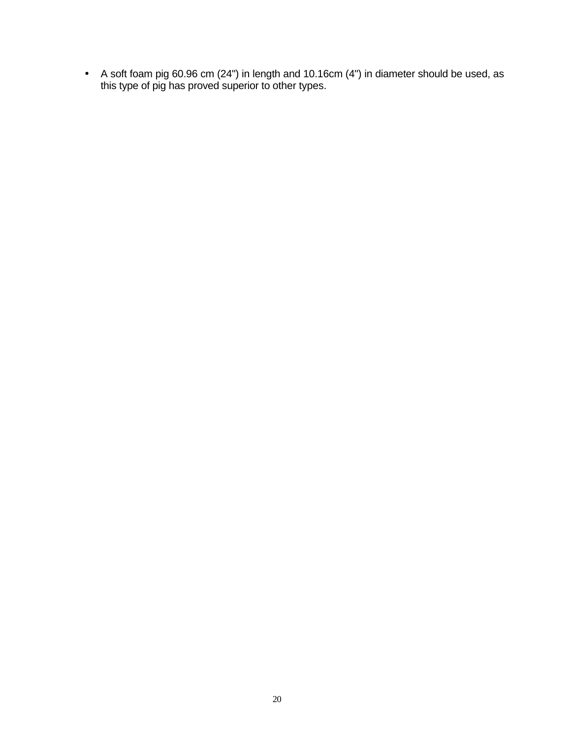• A soft foam pig 60.96 cm (24") in length and 10.16cm (4") in diameter should be used, as this type of pig has proved superior to other types.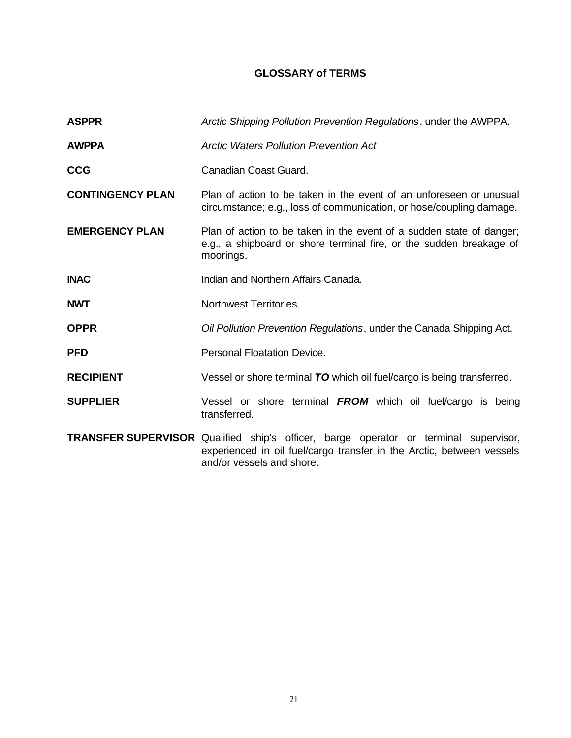### **GLOSSARY of TERMS**

| <b>ASPPR</b>            | Arctic Shipping Pollution Prevention Regulations, under the AWPPA.                                                                                                                         |  |  |  |  |  |
|-------------------------|--------------------------------------------------------------------------------------------------------------------------------------------------------------------------------------------|--|--|--|--|--|
| <b>AWPPA</b>            | <b>Arctic Waters Pollution Prevention Act</b>                                                                                                                                              |  |  |  |  |  |
| <b>CCG</b>              | Canadian Coast Guard.                                                                                                                                                                      |  |  |  |  |  |
| <b>CONTINGENCY PLAN</b> | Plan of action to be taken in the event of an unforeseen or unusual<br>circumstance; e.g., loss of communication, or hose/coupling damage.                                                 |  |  |  |  |  |
| <b>EMERGENCY PLAN</b>   | Plan of action to be taken in the event of a sudden state of danger;<br>e.g., a shipboard or shore terminal fire, or the sudden breakage of<br>moorings.                                   |  |  |  |  |  |
| <b>INAC</b>             | Indian and Northern Affairs Canada.                                                                                                                                                        |  |  |  |  |  |
| <b>NWT</b>              | Northwest Territories.                                                                                                                                                                     |  |  |  |  |  |
| <b>OPPR</b>             | Oil Pollution Prevention Regulations, under the Canada Shipping Act.                                                                                                                       |  |  |  |  |  |
| <b>PFD</b>              | Personal Floatation Device.                                                                                                                                                                |  |  |  |  |  |
| <b>RECIPIENT</b>        | Vessel or shore terminal TO which oil fuel/cargo is being transferred.                                                                                                                     |  |  |  |  |  |
| <b>SUPPLIER</b>         | Vessel or shore terminal FROM which oil fuel/cargo is being<br>transferred.                                                                                                                |  |  |  |  |  |
|                         | TRANSFER SUPERVISOR Qualified ship's officer, barge operator or terminal supervisor,<br>experienced in oil fuel/cargo transfer in the Arctic, between vessels<br>and/or vessels and shore. |  |  |  |  |  |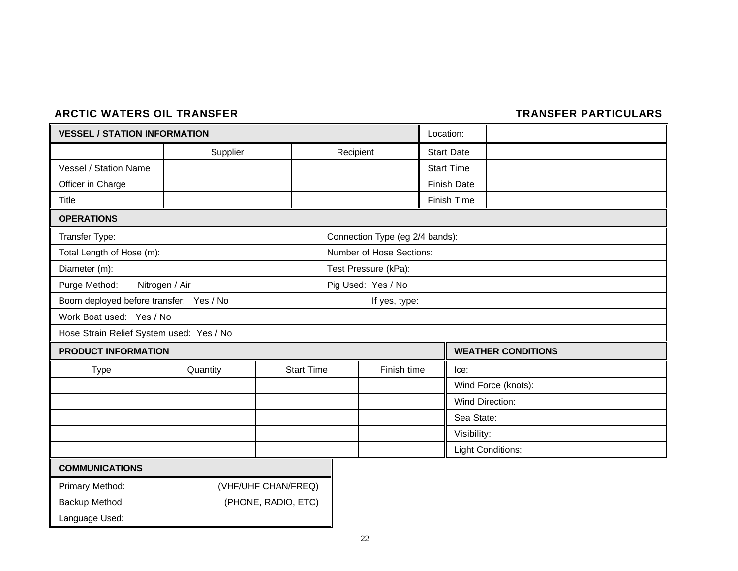### ARCTIC WATERS OIL TRANSFER **TRANSFER PARTICULARS**

| <b>VESSEL / STATION INFORMATION</b>      |                | Location:           |                                 |                           |
|------------------------------------------|----------------|---------------------|---------------------------------|---------------------------|
|                                          | Supplier       |                     |                                 | <b>Start Date</b>         |
| Vessel / Station Name                    |                |                     |                                 | <b>Start Time</b>         |
| Officer in Charge                        |                |                     |                                 | <b>Finish Date</b>        |
| Title                                    |                |                     |                                 | Finish Time               |
| <b>OPERATIONS</b>                        |                |                     |                                 |                           |
| Transfer Type:                           |                |                     | Connection Type (eg 2/4 bands): |                           |
| Total Length of Hose (m):                |                |                     | Number of Hose Sections:        |                           |
| Diameter (m):                            |                |                     | Test Pressure (kPa):            |                           |
| Purge Method:                            | Nitrogen / Air |                     | Pig Used: Yes / No              |                           |
| Boom deployed before transfer: Yes / No  |                |                     | If yes, type:                   |                           |
| Work Boat used: Yes / No                 |                |                     |                                 |                           |
| Hose Strain Relief System used: Yes / No |                |                     |                                 |                           |
| <b>PRODUCT INFORMATION</b>               |                |                     |                                 | <b>WEATHER CONDITIONS</b> |
| <b>Type</b>                              | Quantity       | <b>Start Time</b>   | Finish time                     | lec:                      |
|                                          |                |                     |                                 | Wind Force (knots):       |
|                                          |                |                     |                                 | <b>Wind Direction:</b>    |
|                                          |                |                     |                                 | Sea State:                |
|                                          |                |                     |                                 | Visibility:               |
|                                          |                |                     |                                 | <b>Light Conditions:</b>  |
| <b>COMMUNICATIONS</b>                    |                |                     |                                 |                           |
| Primary Method:                          |                | (VHF/UHF CHAN/FREQ) |                                 |                           |
| Backup Method:                           |                | (PHONE, RADIO, ETC) |                                 |                           |
| Language Used:                           |                |                     |                                 |                           |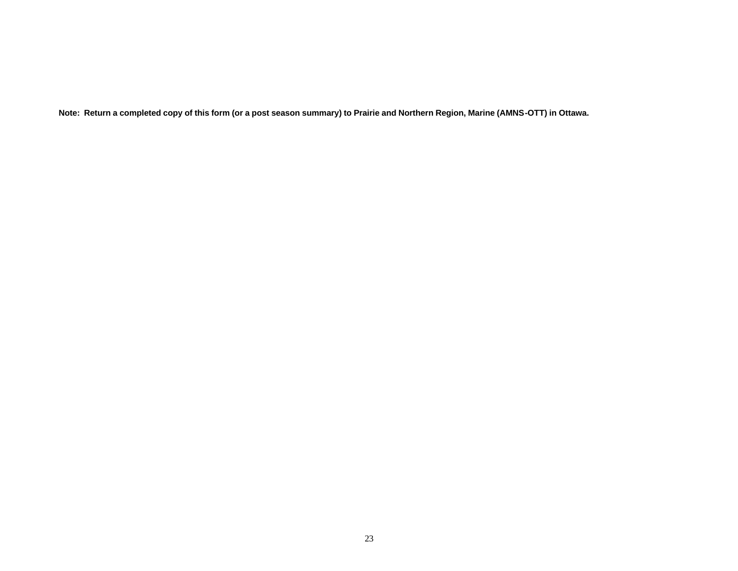**Note: Return a completed copy of this form (or a post season summary) to Prairie and Northern Region, Marine (AMNS-OTT) in Ottawa.**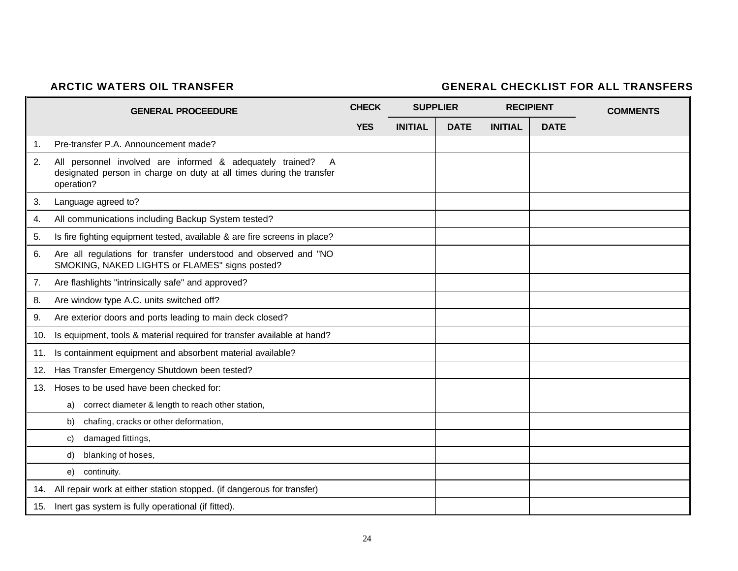### **ARCTIC WATERS OIL TRANSFER GENERAL CHECKLIST FOR ALL TRANSFERS**

|     | <b>GENERAL PROCEEDURE</b>                                                                                                                                         | <b>CHECK</b> | <b>SUPPLIER</b> |             | <b>RECIPIENT</b> |             | <b>COMMENTS</b> |
|-----|-------------------------------------------------------------------------------------------------------------------------------------------------------------------|--------------|-----------------|-------------|------------------|-------------|-----------------|
|     |                                                                                                                                                                   | <b>YES</b>   | <b>INITIAL</b>  | <b>DATE</b> | <b>INITIAL</b>   | <b>DATE</b> |                 |
| 1.  | Pre-transfer P.A. Announcement made?                                                                                                                              |              |                 |             |                  |             |                 |
| 2.  | All personnel involved are informed & adequately trained?<br>$\overline{A}$<br>designated person in charge on duty at all times during the transfer<br>operation? |              |                 |             |                  |             |                 |
| 3.  | Language agreed to?                                                                                                                                               |              |                 |             |                  |             |                 |
| 4.  | All communications including Backup System tested?                                                                                                                |              |                 |             |                  |             |                 |
| 5.  | Is fire fighting equipment tested, available & are fire screens in place?                                                                                         |              |                 |             |                  |             |                 |
| 6.  | Are all regulations for transfer understood and observed and "NO<br>SMOKING, NAKED LIGHTS or FLAMES" signs posted?                                                |              |                 |             |                  |             |                 |
| 7.  | Are flashlights "intrinsically safe" and approved?                                                                                                                |              |                 |             |                  |             |                 |
| 8.  | Are window type A.C. units switched off?                                                                                                                          |              |                 |             |                  |             |                 |
| 9.  | Are exterior doors and ports leading to main deck closed?                                                                                                         |              |                 |             |                  |             |                 |
| 10. | Is equipment, tools & material required for transfer available at hand?                                                                                           |              |                 |             |                  |             |                 |
| 11. | Is containment equipment and absorbent material available?                                                                                                        |              |                 |             |                  |             |                 |
| 12. | Has Transfer Emergency Shutdown been tested?                                                                                                                      |              |                 |             |                  |             |                 |
| 13. | Hoses to be used have been checked for:                                                                                                                           |              |                 |             |                  |             |                 |
|     | correct diameter & length to reach other station,<br>a)                                                                                                           |              |                 |             |                  |             |                 |
|     | chafing, cracks or other deformation,<br>b)                                                                                                                       |              |                 |             |                  |             |                 |
|     | damaged fittings,<br>C)                                                                                                                                           |              |                 |             |                  |             |                 |
|     | blanking of hoses,<br>d)                                                                                                                                          |              |                 |             |                  |             |                 |
|     | continuity.<br>e)                                                                                                                                                 |              |                 |             |                  |             |                 |
|     | 14. All repair work at either station stopped. (if dangerous for transfer)                                                                                        |              |                 |             |                  |             |                 |
|     | 15. Inert gas system is fully operational (if fitted).                                                                                                            |              |                 |             |                  |             |                 |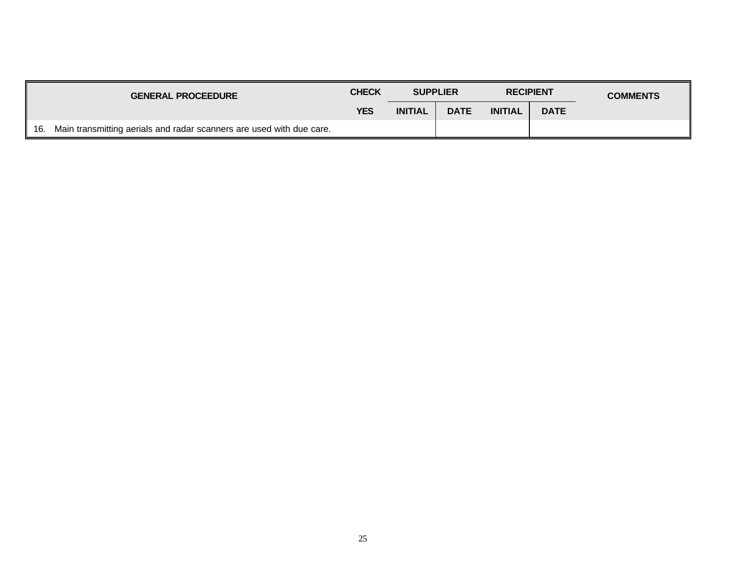|     | <b>GENERAL PROCEEDURE</b>                                            | <b>CHECK</b> | <b>SUPPLIER</b> |             | <b>RECIPIENT</b> |             | <b>COMMENTS</b> |
|-----|----------------------------------------------------------------------|--------------|-----------------|-------------|------------------|-------------|-----------------|
|     |                                                                      | <b>YES</b>   | <b>INITIAL</b>  | <b>DATE</b> | <b>INITIAL</b>   | <b>DATE</b> |                 |
| 16. | Main transmitting aerials and radar scanners are used with due care. |              |                 |             |                  |             |                 |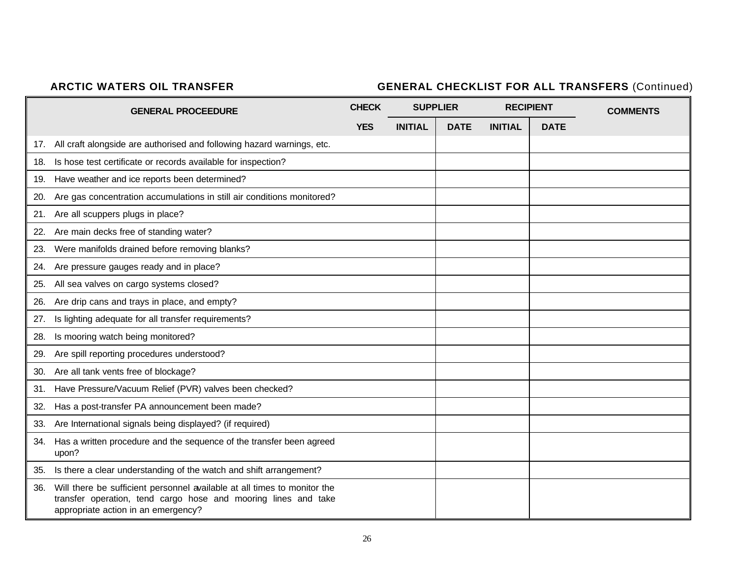# **ARCTIC WATERS OIL TRANSFER GENERAL CHECKLIST FOR ALL TRANSFERS** (Continued)

|     | <b>GENERAL PROCEEDURE</b>                                                                                                                                                         | <b>CHECK</b> |                | <b>SUPPLIER</b> | <b>RECIPIENT</b> |             | <b>COMMENTS</b> |
|-----|-----------------------------------------------------------------------------------------------------------------------------------------------------------------------------------|--------------|----------------|-----------------|------------------|-------------|-----------------|
|     |                                                                                                                                                                                   | <b>YES</b>   | <b>INITIAL</b> | <b>DATE</b>     | <b>INITIAL</b>   | <b>DATE</b> |                 |
|     | 17. All craft alongside are authorised and following hazard warnings, etc.                                                                                                        |              |                |                 |                  |             |                 |
|     | 18. Is hose test certificate or records available for inspection?                                                                                                                 |              |                |                 |                  |             |                 |
|     | 19. Have weather and ice reports been determined?                                                                                                                                 |              |                |                 |                  |             |                 |
| 20. | Are gas concentration accumulations in still air conditions monitored?                                                                                                            |              |                |                 |                  |             |                 |
| 21. | Are all scuppers plugs in place?                                                                                                                                                  |              |                |                 |                  |             |                 |
| 22. | Are main decks free of standing water?                                                                                                                                            |              |                |                 |                  |             |                 |
| 23. | Were manifolds drained before removing blanks?                                                                                                                                    |              |                |                 |                  |             |                 |
| 24. | Are pressure gauges ready and in place?                                                                                                                                           |              |                |                 |                  |             |                 |
| 25. | All sea valves on cargo systems closed?                                                                                                                                           |              |                |                 |                  |             |                 |
| 26. | Are drip cans and trays in place, and empty?                                                                                                                                      |              |                |                 |                  |             |                 |
| 27. | Is lighting adequate for all transfer requirements?                                                                                                                               |              |                |                 |                  |             |                 |
| 28. | Is mooring watch being monitored?                                                                                                                                                 |              |                |                 |                  |             |                 |
| 29. | Are spill reporting procedures understood?                                                                                                                                        |              |                |                 |                  |             |                 |
| 30. | Are all tank vents free of blockage?                                                                                                                                              |              |                |                 |                  |             |                 |
| 31. | Have Pressure/Vacuum Relief (PVR) valves been checked?                                                                                                                            |              |                |                 |                  |             |                 |
| 32. | Has a post-transfer PA announcement been made?                                                                                                                                    |              |                |                 |                  |             |                 |
| 33. | Are International signals being displayed? (if required)                                                                                                                          |              |                |                 |                  |             |                 |
| 34. | Has a written procedure and the sequence of the transfer been agreed<br>upon?                                                                                                     |              |                |                 |                  |             |                 |
|     | 35. Is there a clear understanding of the watch and shift arrangement?                                                                                                            |              |                |                 |                  |             |                 |
| 36. | Will there be sufficient personnel available at all times to monitor the<br>transfer operation, tend cargo hose and mooring lines and take<br>appropriate action in an emergency? |              |                |                 |                  |             |                 |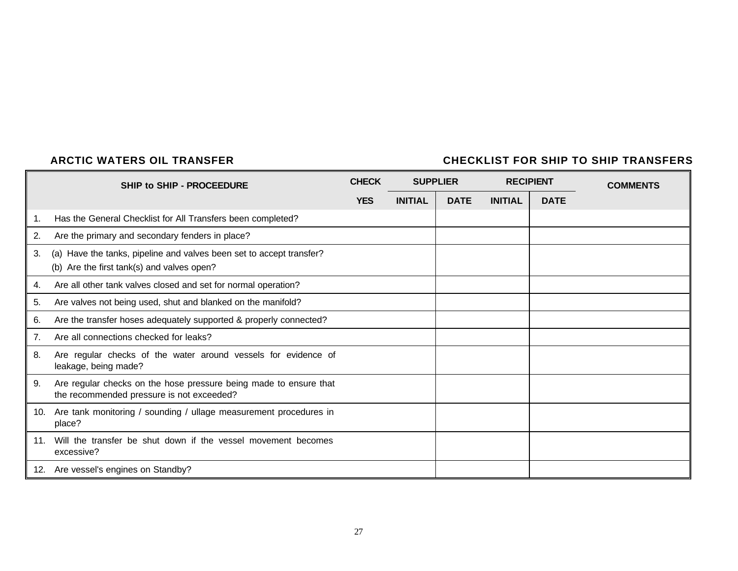#### **ARCTIC WATERS OIL TRANSFER CHECKLIST FOR SHIP TO SHIP TRANSFERS**

|                | <b>SHIP to SHIP - PROCEEDURE</b>                                                                                   | <b>CHECK</b> |                | <b>SUPPLIER</b><br><b>RECIPIENT</b> |                |             | <b>COMMENTS</b> |
|----------------|--------------------------------------------------------------------------------------------------------------------|--------------|----------------|-------------------------------------|----------------|-------------|-----------------|
|                |                                                                                                                    | <b>YES</b>   | <b>INITIAL</b> | <b>DATE</b>                         | <b>INITIAL</b> | <b>DATE</b> |                 |
| 1.             | Has the General Checklist for All Transfers been completed?                                                        |              |                |                                     |                |             |                 |
| 2.             | Are the primary and secondary fenders in place?                                                                    |              |                |                                     |                |             |                 |
| 3.             | (a) Have the tanks, pipeline and valves been set to accept transfer?<br>(b) Are the first tank(s) and valves open? |              |                |                                     |                |             |                 |
| 4.             | Are all other tank valves closed and set for normal operation?                                                     |              |                |                                     |                |             |                 |
| 5.             | Are valves not being used, shut and blanked on the manifold?                                                       |              |                |                                     |                |             |                 |
| 6.             | Are the transfer hoses adequately supported & properly connected?                                                  |              |                |                                     |                |             |                 |
| 7 <sub>1</sub> | Are all connections checked for leaks?                                                                             |              |                |                                     |                |             |                 |
| 8.             | Are regular checks of the water around vessels for evidence of<br>leakage, being made?                             |              |                |                                     |                |             |                 |
| 9.             | Are regular checks on the hose pressure being made to ensure that<br>the recommended pressure is not exceeded?     |              |                |                                     |                |             |                 |
| 10.            | Are tank monitoring / sounding / ullage measurement procedures in<br>place?                                        |              |                |                                     |                |             |                 |
| .11            | Will the transfer be shut down if the vessel movement becomes<br>excessive?                                        |              |                |                                     |                |             |                 |
|                | 12. Are vessel's engines on Standby?                                                                               |              |                |                                     |                |             |                 |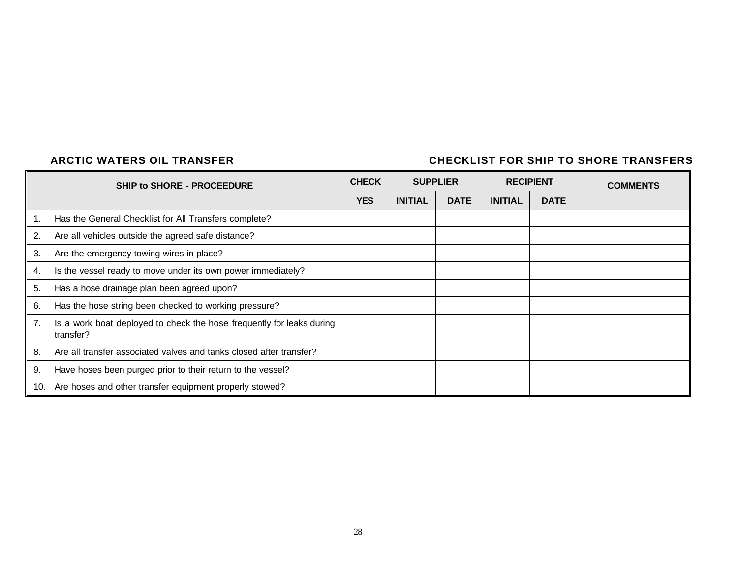### **ARCTIC WATERS OIL TRANSFER CHECKLIST FOR SHIP TO SHORE TRANSFERS**

|     | <b>SHIP to SHORE - PROCEEDURE</b>                                                  | <b>CHECK</b> |                | <b>SUPPLIER</b> |                | <b>RECIPIENT</b> | <b>COMMENTS</b> |
|-----|------------------------------------------------------------------------------------|--------------|----------------|-----------------|----------------|------------------|-----------------|
|     |                                                                                    | <b>YES</b>   | <b>INITIAL</b> | <b>DATE</b>     | <b>INITIAL</b> | <b>DATE</b>      |                 |
| 1.  | Has the General Checklist for All Transfers complete?                              |              |                |                 |                |                  |                 |
| 2.  | Are all vehicles outside the agreed safe distance?                                 |              |                |                 |                |                  |                 |
| 3.  | Are the emergency towing wires in place?                                           |              |                |                 |                |                  |                 |
| 4.  | Is the vessel ready to move under its own power immediately?                       |              |                |                 |                |                  |                 |
| 5.  | Has a hose drainage plan been agreed upon?                                         |              |                |                 |                |                  |                 |
| 6.  | Has the hose string been checked to working pressure?                              |              |                |                 |                |                  |                 |
| 7.  | Is a work boat deployed to check the hose frequently for leaks during<br>transfer? |              |                |                 |                |                  |                 |
| 8.  | Are all transfer associated valves and tanks closed after transfer?                |              |                |                 |                |                  |                 |
| 9.  | Have hoses been purged prior to their return to the vessel?                        |              |                |                 |                |                  |                 |
| 10. | Are hoses and other transfer equipment properly stowed?                            |              |                |                 |                |                  |                 |